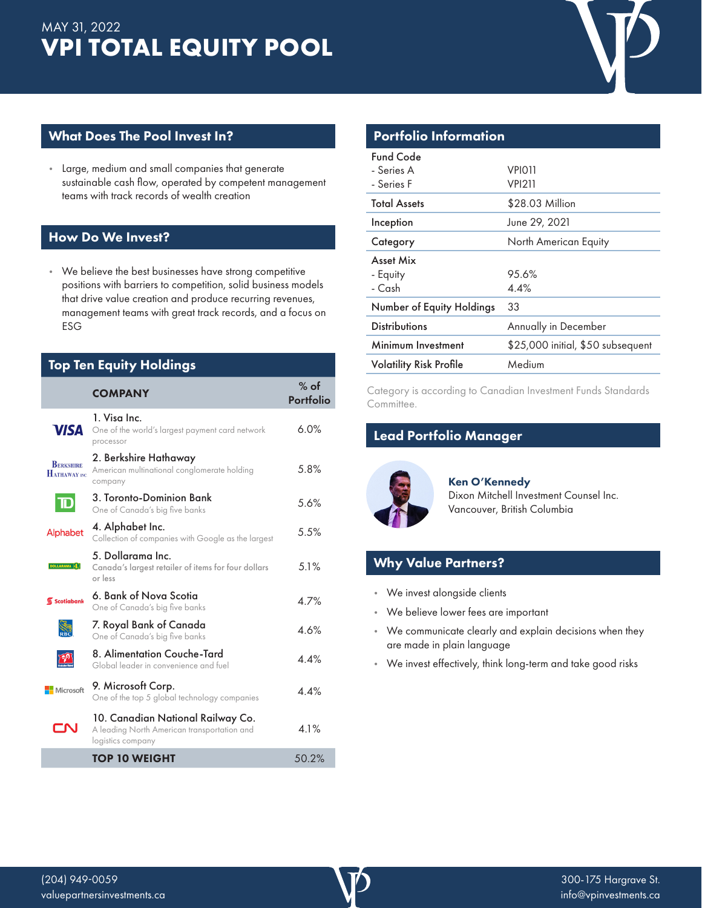# **VPI TOTAL EQUITY POOL** MAY 31, 2022



### What Does The Pool Invest In?

• Large, medium and small companies that generate sustainable cash flow, operated by competent management teams with track records of wealth creation

### How Do We Invest?

• We believe the best businesses have strong competitive positions with barriers to competition, solid business models that drive value creation and produce recurring revenues, management teams with great track records, and a focus on ESG

| <b>Top Ten Equity Holdings</b>    |                                                                                                       |                     |  |  |  |
|-----------------------------------|-------------------------------------------------------------------------------------------------------|---------------------|--|--|--|
|                                   | <b>COMPANY</b>                                                                                        | $%$ of<br>Portfolio |  |  |  |
| <b>VISA</b>                       | 1. Visa Inc.<br>One of the world's largest payment card network<br>processor                          | 6.0%                |  |  |  |
| <b>BERKSHIRE</b><br>HATHAWAY INC. | 2. Berkshire Hathaway<br>American multinational conglomerate holding<br>company                       | 5.8%                |  |  |  |
| $\mathbf D$                       | 3. Toronto-Dominion Bank<br>One of Canada's big five banks                                            | 5.6%                |  |  |  |
| Alphabet                          | 4. Alphabet Inc.<br>Collection of companies with Google as the largest                                | 5.5%                |  |  |  |
| <b>DOLLARAMA</b> (s)              | 5. Dollarama Inc.<br>Canada's largest retailer of items for four dollars<br>or less                   | 5.1%                |  |  |  |
| Scotiabank                        | 6. Bank of Nova Scotia<br>One of Canada's big five banks                                              | 4.7%                |  |  |  |
|                                   | 7. Royal Bank of Canada<br>One of Canada's big five banks                                             | 4.6%                |  |  |  |
|                                   | 8. Alimentation Couche-Tard<br>Global leader in convenience and fuel                                  | 44%                 |  |  |  |
| Microsoft                         | 9. Microsoft Corp.<br>One of the top 5 global technology companies                                    | 44%                 |  |  |  |
| -NI                               | 10. Canadian National Railway Co.<br>A leading North American transportation and<br>logistics company | 4.1%                |  |  |  |
|                                   | <b>TOP 10 WEIGHT</b>                                                                                  | 50.2%               |  |  |  |

| <b>Portfolio Information</b>   |                                   |  |  |  |  |
|--------------------------------|-----------------------------------|--|--|--|--|
| Fund Code                      |                                   |  |  |  |  |
| - Series A                     | VPIO11                            |  |  |  |  |
| - Series F                     | <b>VPI211</b>                     |  |  |  |  |
| <b>Total Assets</b>            | \$28.03 Million                   |  |  |  |  |
| Inception                      | June 29, 2021                     |  |  |  |  |
| Category                       | North American Equity             |  |  |  |  |
| <b>Asset Mix</b>               |                                   |  |  |  |  |
| - Equity                       | 95.6%                             |  |  |  |  |
| - Cash                         | 4.4%                              |  |  |  |  |
| Number of Equity Holdings      | 33                                |  |  |  |  |
| <b>Distributions</b>           | Annually in December              |  |  |  |  |
| Minimum Investment             | \$25,000 initial, \$50 subsequent |  |  |  |  |
| <b>Volatility Risk Profile</b> | Medium                            |  |  |  |  |
|                                |                                   |  |  |  |  |

Category is according to Canadian Investment Funds Standards Committee.

# Lead Portfolio Manager



Ken O'Kennedy Dixon Mitchell Investment Counsel Inc. Vancouver, British Columbia

# Why Value Partners?

- We invest alongside clients
- We believe lower fees are important
- We communicate clearly and explain decisions when they are made in plain language
- We invest effectively, think long-term and take good risks